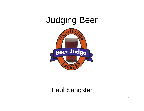# Judging Beer



#### Paul Sangster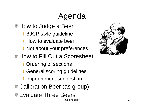# Agenda

**How to Judge a Beer** 

- **BJCP style guideline**
- **How to evaluate beer**
- **Not about your preferences**
- **How to Fill Out a Scoresheet** 
	- **T** Ordering of sections
	- **I** General scoring guidelines
	- I Improvement suggestion
- **Calibration Beer (as group)**
- **Evaluate Three Beers**

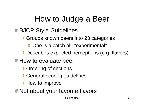# How to Judge a Beer

### ■ BJCP Style Guidelines

- **I** Groups known beers into 23 categories
	- **C** One is a catch all, "experimental"
- **Describes expected perceptions (e.g. flavors)**
- **How to evaluate beer** 
	- **T** Ordering of sections
	- **I** General scoring guidelines
	- **How to improve**
- Not about your favorite flavors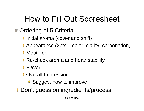# How to Fill Out Scoresheet

### **Ordering of 5 Criteria**

- **I** Initial aroma (cover and sniff)
- **Appearance (3pts color, clarity, carbonation)**
- **Mouthfeel**
- Re-check aroma and head stabilit y
- Flavor
- **T** Overall Impression
	- **Suggest how to improve**
- Don't guess on ingredients/process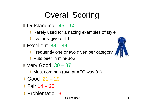# Overall Scoring

- Outstanding 45 50
	- Rarely used for amazing examples of style
	- **I** I've only give out 1!
- $\bullet$  Excellent 38 44
	- **Find Tenaulary one or two given per category**
	- **Puts beer in mini-BoS**
- $\blacktriangleright$  Very Good 30 37
	- **Most common (avg at AFC was 31)**
- Good 21 29
- Fair 14 20
- **Problematic 13**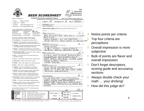|                                                                                                                                                                                                                                                                                                                                                                                | The<br>American<br><b>H</b> dmebrewers<br><i><b>BEER SCORESHEET</b></i><br><b>Association</b>                                                                                                     |
|--------------------------------------------------------------------------------------------------------------------------------------------------------------------------------------------------------------------------------------------------------------------------------------------------------------------------------------------------------------------------------|---------------------------------------------------------------------------------------------------------------------------------------------------------------------------------------------------|
| http://www.bjcp.org                                                                                                                                                                                                                                                                                                                                                            | <b>AHA/BJCP Sanctioned Competition Program</b><br>http://www.homebrewersassociation.org                                                                                                           |
| Name:<br>Marty Nachel<br>Judge ID: C0008<br>E-mail:<br>aleconner@aol.com<br>Web site:<br>www.beerclinic.com                                                                                                                                                                                                                                                                    | IO<br>BROAS<br>Subcategory (a-f) $A$<br>Entry #<br>Category #<br>Subcategory (spell out)<br><b>Special Ingredients:</b>                                                                           |
| Judge Qualifications and BJCP Rank:<br>□ Apprentice<br>□ Recognized<br>Certified<br>C Grand Master<br>□ National<br>$\square$ Master<br>□ Mead Judge<br>□ Cider Judge<br>□ Honorary Master<br>□ Professional Brewer □ Non-BJCP<br>□ Rank Pending                                                                                                                               | Bottle Inspection: X Appropriate size, cap, fill level, label removal, etc.<br>11/12<br>Aroma (as appropriate for style)<br>BRIGHT HOP BOUQUET - CITRUS                                           |
| Descriptor Definitions (Mark all that apply):                                                                                                                                                                                                                                                                                                                                  | 4RO MAS<br>NΟ<br>OFF<br>$EMV$ -                                                                                                                                                                   |
| $\Box$ Acetaldehyde - Green apple-like aroma and flavor.                                                                                                                                                                                                                                                                                                                       | BACKGROU<br>MAL<br>$\overline{N}$                                                                                                                                                                 |
| $\Box$ Alcoholic - The aroma, flavor, and warming effect of<br>ethanol and higher alcohols. Sometimes described as "hot."                                                                                                                                                                                                                                                      | J<br>/3<br>Appearance (as appropriate for style)                                                                                                                                                  |
| $\Box$ Astringent - Puckering, lingering harshness and/or dryness<br>in the finish/aftertaste; harsh graininess; huskiness.                                                                                                                                                                                                                                                    | Comment on color, clarity, and head (retention, color, and texture)<br>GCOD COLOR                                                                                                                 |
| Diacetyl - Artificial butter, butterscotch, or toffee aroma<br>and flavor. Sometimes perceived as a slickness on the tongue.                                                                                                                                                                                                                                                   | CHILL HAZE?<br>4 Z Y<br>$\hat{\phantom{a}}$<br>CREAM<br>DENSE                                                                                                                                     |
| $\Box$ DMS (dimethyl sulfide) – At low levels a sweet, cooked or<br>canned corn-like aroma and flavor.                                                                                                                                                                                                                                                                         | 9 (<br>Flavor (as appropriate for style)<br>/20                                                                                                                                                   |
| □ Estery - Aroma and/or flavor of any ester (fruits, fruit<br>flavorings, or roses).                                                                                                                                                                                                                                                                                           | Comment on malt, hops, fermentation characteristics, balance, finish/aftertaste, and other flavor characteristics<br>HOP<br>AVOR<br>$C$ it $R$ ic<br>$DOMINATES-$<br>FΓ<br>RAF<br>ANO<br>Έ        |
| Grassy - Aroma/flavor of fresh-cut grass or green leaves.                                                                                                                                                                                                                                                                                                                      |                                                                                                                                                                                                   |
| $\Box$ Light-Struck - Similar to the aroma of a skunk.                                                                                                                                                                                                                                                                                                                         | MALT                                                                                                                                                                                              |
| □ Metallic - Tinny, coiny, copper, iron, or blood-like flavor.                                                                                                                                                                                                                                                                                                                 |                                                                                                                                                                                                   |
| □ Musty - Stale, musty, or moldy aromas/flavors.                                                                                                                                                                                                                                                                                                                               | Mouthfeel (as appropriate for style)<br>ent on body, carbonation, warmth, creaminess, astringency, and other palate sensations                                                                    |
| $\Box$ Oxidized – Any one or combination of winy/vinous,<br>cardboard, papery, or sherry-like aromas and flavors.                                                                                                                                                                                                                                                              | CARBONATION.<br>BE AD<br>FINE<br>Bit<br>ON THE LIGHT                                                                                                                                              |
| □ Phenolic – Spicy (clove, pepper), smoky, plastic, plastic<br>adhesive strip, and/or medicinal (chlorophenolic).                                                                                                                                                                                                                                                              | MOUTH                                                                                                                                                                                             |
| □ Solvent - Aromas and flavors of higher alcohols (fusel<br>alcohols). Similar to acetone or lacquer thinner aromas.                                                                                                                                                                                                                                                           | g<br><b>Overall Impression</b><br>/10                                                                                                                                                             |
| □ Sour/Acidic - Tartness in aroma and flavor. Can be sharp<br>and clean (lactic acid), or vinegar-like (acetic acid).                                                                                                                                                                                                                                                          | Comment on overall drinking<br>re associated with entry, give suggestions for improvement<br>50LID<br>RECIPE - WELL EXECUTED                                                                      |
| $\Box$ Sulfur – The aroma of rotten eggs or burning matches.                                                                                                                                                                                                                                                                                                                   | VERY CLEAN<br>AND DRINKABLE                                                                                                                                                                       |
| □ Vegetal - Cooked, canned, or rotten vegetable aroma and<br>flavor (cabbage, onion, celery, asparagus, etc.)                                                                                                                                                                                                                                                                  | GREAT HOP PRESENCE; WOULD LIKE<br>$\eta$ oke<br>MALT<br>PRESENCE IN<br>BODY AND<br>AVOR                                                                                                           |
| $\Box$ Yeasty - A bready, sulfury or yeast-like aroma or flavor.<br>Look up detailed descriptions in the BJCP vocabulary application:<br>http://www.bjcp.org/cep/vocab/                                                                                                                                                                                                        | 39<br>Total                                                                                                                                                                                       |
| Qutstanding<br>(45 - 50): World-class example of style<br><b>Excellent</b><br>(38 - 44): Exemplifies style well, requires minor fine-tuning<br><b>Very Good</b><br>(30 - 37): Generally within style parameters, some minor flaws<br>ġ<br>Good<br>(21 - 29): Misses the mark on style and/or minor flaws<br>Fair<br>(14 - 20): Off flavors, aromas or major style deficiencial | <b>Stylistic Accuracy</b><br>Classic Example $\Box$<br><b>00</b><br>Not to Style<br>□<br><b>Technical Merit</b><br>Flawless<br>□<br>$\Box$ $\Box$<br><b>Significant Flaws</b><br>□<br>Intangibles |

BJCP Beer Scoresheet Copyright @ 2009 Beer Judge Certification Program rev. 091023

Problematic (0 - 13): Major off flavors and aromas do

Please send any comments to Comp\_Director@BJCP.org

Wonderful  $\bigtimes \square \square \square \square \square$  Lifeless

- Notice points per criteria
- Top four criteria are perceptions
- Overall impression is more T subjective
- Bulk of points are flavor and **Co** overall impression
- Don't forget descriptors, y. scoring guide and accurancy sections
- Always double check your Y math … your drinking!
- How did this judge do?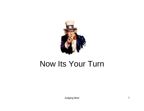

### Now Its Your Turn

Judging Beer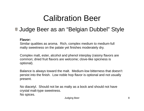## Calibration Beer

#### Judge Beer as an "Belgian Dubbel" Style

#### **Flavor:**

Similar qualities as aroma. Rich, complex medium to medium-full malty sweetness on the palate yet finishes moderately dry.

Complex malt, ester, alcohol and phenol interplay (raisiny flavors are common; dried fruit flavors are welcome; clove-like spiciness is optional).

Balance is always toward the malt. Medium-low bitterness that doesn't persist into the finish. Low noble hop flavor is optional and not usually present.

No diacetyl. Should not be as malty as a bock and should not have crystal malt type sweetness malt-type sweetness. No spices.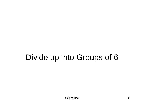# Divide up into Groups of 6

Judging Beer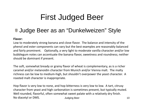## First Judged Beer

#### **Judge Beer as an "Dunkelweizen" Style**

#### **Flavor:**

Low to moderately strong banana and clove flavor. The balance and intensity of the phenol and ester components can vary but the best examples are reasonably balanced and fairly prominent. Optionally, <sup>a</sup> very light to moderate vanilla character and/or low bubblegum notes can accentuate the banana flavor, sweetness and roundness; neither should be dominant if present.

The soft, somewhat bready or grainy flavor of wheat is complementary, as is <sup>a</sup> richer caramel and/or melanoidin character from Munich and/or Vienna malt. The malty richness can be low to medium‐high, but shouldn't overpower the yeast character. A roasted malt character is inappropriate.

Hop flavor is very low to none, and hop bitterness is very low to low. A tart, citrusy character from yeast and high carbonation is sometimes present, but typically muted. Judging Beer 10 Well rounded, flavorful, often somewhat sweet palate with <sup>a</sup> relatively dry finish. No diacetyl or DMS.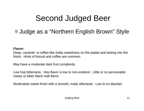## Second Judged Beer

### Judge as a "Northern English Brown" Style

#### **Flavor:**

Deep, caramel- or toffee-like malty sweetness on the palate and lasting into the finish. Hints of biscuit and coffee are common.

May have a moderate dark fruit complexity.

Low hop bitterness. Hop flavor is low to non-existent. Little or no perceivable roasty or bitter black malt flavor.

Moderately sweet finish with a smooth, malty aftertaste. Low to no diacetyl.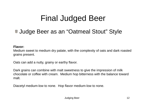# Final Judged Beer

#### Judge Beer as an "Oatmeal Stout" Style

#### **Flavor:**

Medium sweet to medium dry palate, with the complexity of oats and dark roasted grains present.

Oats can add a nutty, grainy or earthy flavor.

Dark grains can combine with malt sweetness to give the impression of milk chocolate or coffee with cream. Medium hop bitterness with the balance toward malt.

Diacetyl medium-low to none. Hop flavor medium-low to none.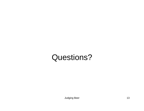## Questions?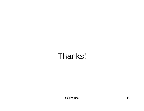## Thanks!

Judging Beer 14